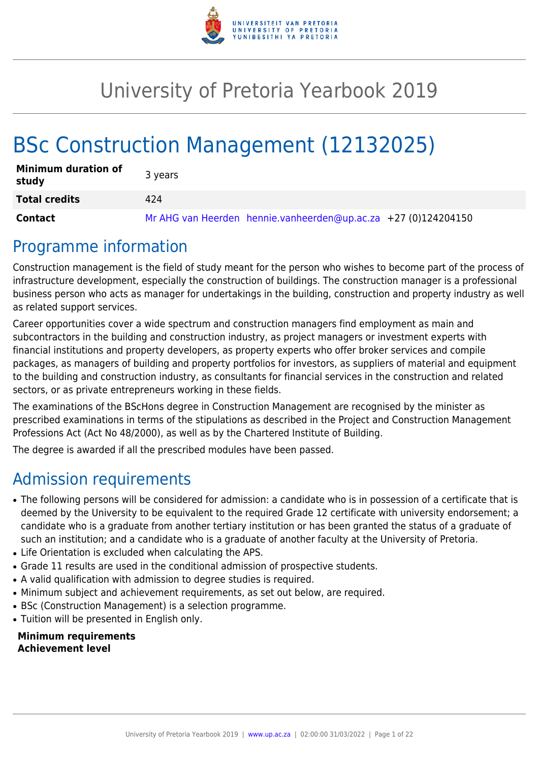

# University of Pretoria Yearbook 2019

# BSc Construction Management (12132025)

| <b>Minimum duration of</b><br>study | 3 years                                                        |
|-------------------------------------|----------------------------------------------------------------|
| <b>Total credits</b>                | 424                                                            |
| Contact                             | Mr AHG van Heerden hennie.vanheerden@up.ac.za +27 (0)124204150 |

## Programme information

Construction management is the field of study meant for the person who wishes to become part of the process of infrastructure development, especially the construction of buildings. The construction manager is a professional business person who acts as manager for undertakings in the building, construction and property industry as well as related support services.

Career opportunities cover a wide spectrum and construction managers find employment as main and subcontractors in the building and construction industry, as project managers or investment experts with financial institutions and property developers, as property experts who offer broker services and compile packages, as managers of building and property portfolios for investors, as suppliers of material and equipment to the building and construction industry, as consultants for financial services in the construction and related sectors, or as private entrepreneurs working in these fields.

The examinations of the BScHons degree in Construction Management are recognised by the minister as prescribed examinations in terms of the stipulations as described in the Project and Construction Management Professions Act (Act No 48/2000), as well as by the Chartered Institute of Building.

The degree is awarded if all the prescribed modules have been passed.

## Admission requirements

- The following persons will be considered for admission: a candidate who is in possession of a certificate that is deemed by the University to be equivalent to the required Grade 12 certificate with university endorsement; a candidate who is a graduate from another tertiary institution or has been granted the status of a graduate of such an institution; and a candidate who is a graduate of another faculty at the University of Pretoria.
- Life Orientation is excluded when calculating the APS.
- Grade 11 results are used in the conditional admission of prospective students.
- A valid qualification with admission to degree studies is required.
- Minimum subject and achievement requirements, as set out below, are required.
- BSc (Construction Management) is a selection programme.
- Tuition will be presented in English only.

**Minimum requirements Achievement level**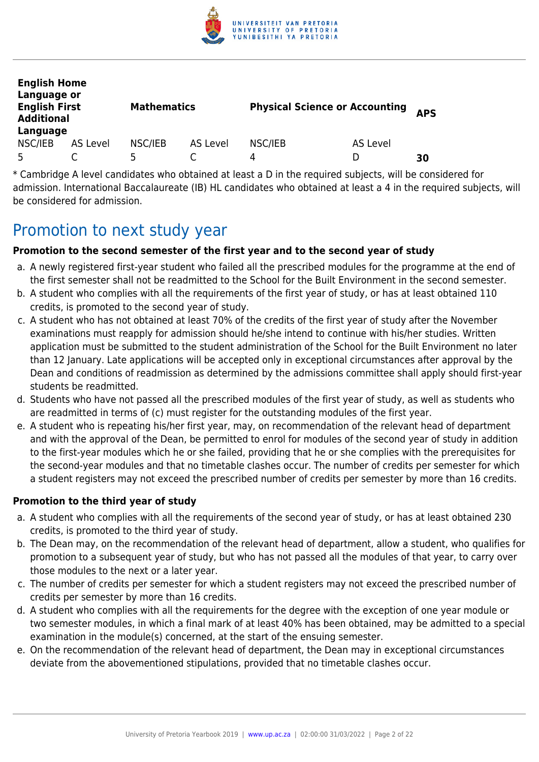

| <b>English Home</b><br>Language or<br><b>English First</b><br><b>Additional</b><br>Language |          | <b>Mathematics</b> |          | <b>Physical Science or Accounting</b> |          | <b>APS</b> |
|---------------------------------------------------------------------------------------------|----------|--------------------|----------|---------------------------------------|----------|------------|
| NSC/IEB                                                                                     | AS Level | NSC/IEB            | AS Level | NSC/IEB                               | AS Level |            |
| 5                                                                                           |          | ц.                 |          | 4                                     | D        | 30         |

\* Cambridge A level candidates who obtained at least a D in the required subjects, will be considered for admission. International Baccalaureate (IB) HL candidates who obtained at least a 4 in the required subjects, will be considered for admission.

## Promotion to next study year

#### **Promotion to the second semester of the first year and to the second year of study**

- a. A newly registered first-year student who failed all the prescribed modules for the programme at the end of the first semester shall not be readmitted to the School for the Built Environment in the second semester.
- b. A student who complies with all the requirements of the first year of study, or has at least obtained 110 credits, is promoted to the second year of study.
- c. A student who has not obtained at least 70% of the credits of the first year of study after the November examinations must reapply for admission should he/she intend to continue with his/her studies. Written application must be submitted to the student administration of the School for the Built Environment no later than 12 January. Late applications will be accepted only in exceptional circumstances after approval by the Dean and conditions of readmission as determined by the admissions committee shall apply should first-year students be readmitted.
- d. Students who have not passed all the prescribed modules of the first year of study, as well as students who are readmitted in terms of (c) must register for the outstanding modules of the first year.
- e. A student who is repeating his/her first year, may, on recommendation of the relevant head of department and with the approval of the Dean, be permitted to enrol for modules of the second year of study in addition to the first-year modules which he or she failed, providing that he or she complies with the prerequisites for the second-year modules and that no timetable clashes occur. The number of credits per semester for which a student registers may not exceed the prescribed number of credits per semester by more than 16 credits.

#### **Promotion to the third year of study**

- a. A student who complies with all the requirements of the second year of study, or has at least obtained 230 credits, is promoted to the third year of study.
- b. The Dean may, on the recommendation of the relevant head of department, allow a student, who qualifies for promotion to a subsequent year of study, but who has not passed all the modules of that year, to carry over those modules to the next or a later year.
- c. The number of credits per semester for which a student registers may not exceed the prescribed number of credits per semester by more than 16 credits.
- d. A student who complies with all the requirements for the degree with the exception of one year module or two semester modules, in which a final mark of at least 40% has been obtained, may be admitted to a special examination in the module(s) concerned, at the start of the ensuing semester.
- e. On the recommendation of the relevant head of department, the Dean may in exceptional circumstances deviate from the abovementioned stipulations, provided that no timetable clashes occur.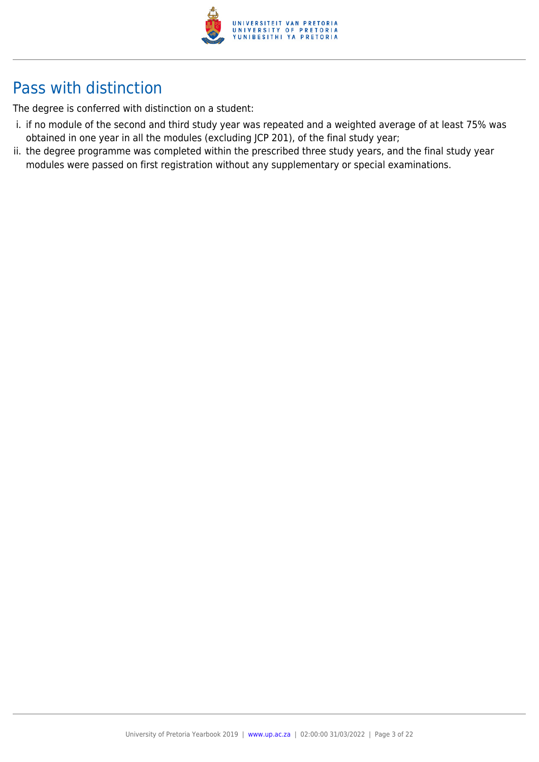

## Pass with distinction

The degree is conferred with distinction on a student:

- i. if no module of the second and third study year was repeated and a weighted average of at least 75% was obtained in one year in all the modules (excluding JCP 201), of the final study year;
- ii. the degree programme was completed within the prescribed three study years, and the final study year modules were passed on first registration without any supplementary or special examinations.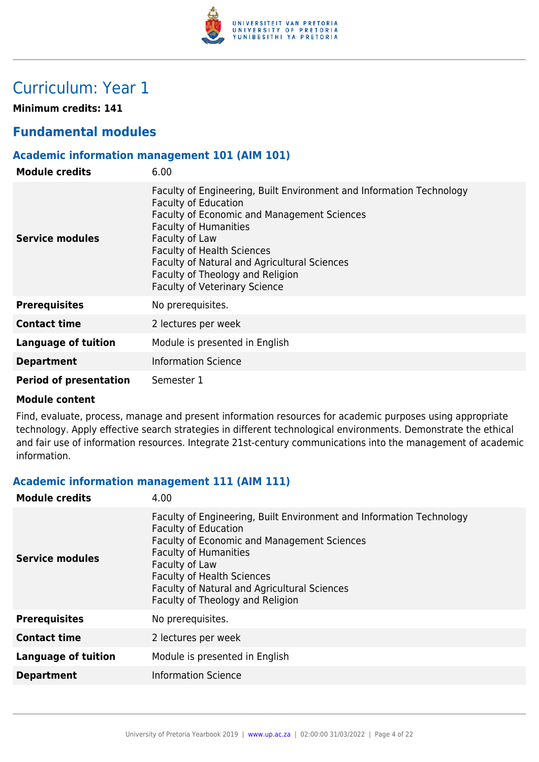

## Curriculum: Year 1

**Minimum credits: 141**

## **Fundamental modules**

#### **Academic information management 101 (AIM 101)**

| <b>Module credits</b>         | 6.00                                                                                                                                                                                                                                                                                                                                                                  |
|-------------------------------|-----------------------------------------------------------------------------------------------------------------------------------------------------------------------------------------------------------------------------------------------------------------------------------------------------------------------------------------------------------------------|
| Service modules               | Faculty of Engineering, Built Environment and Information Technology<br><b>Faculty of Education</b><br>Faculty of Economic and Management Sciences<br><b>Faculty of Humanities</b><br>Faculty of Law<br><b>Faculty of Health Sciences</b><br>Faculty of Natural and Agricultural Sciences<br>Faculty of Theology and Religion<br><b>Faculty of Veterinary Science</b> |
| <b>Prerequisites</b>          | No prerequisites.                                                                                                                                                                                                                                                                                                                                                     |
| <b>Contact time</b>           | 2 lectures per week                                                                                                                                                                                                                                                                                                                                                   |
| Language of tuition           | Module is presented in English                                                                                                                                                                                                                                                                                                                                        |
| <b>Department</b>             | <b>Information Science</b>                                                                                                                                                                                                                                                                                                                                            |
| <b>Period of presentation</b> | Semester 1                                                                                                                                                                                                                                                                                                                                                            |

#### **Module content**

Find, evaluate, process, manage and present information resources for academic purposes using appropriate technology. Apply effective search strategies in different technological environments. Demonstrate the ethical and fair use of information resources. Integrate 21st-century communications into the management of academic information.

#### **Academic information management 111 (AIM 111)**

| <b>Module credits</b>      | 4.00                                                                                                                                                                                                                                                                                                                                 |
|----------------------------|--------------------------------------------------------------------------------------------------------------------------------------------------------------------------------------------------------------------------------------------------------------------------------------------------------------------------------------|
| Service modules            | Faculty of Engineering, Built Environment and Information Technology<br><b>Faculty of Education</b><br><b>Faculty of Economic and Management Sciences</b><br><b>Faculty of Humanities</b><br>Faculty of Law<br><b>Faculty of Health Sciences</b><br>Faculty of Natural and Agricultural Sciences<br>Faculty of Theology and Religion |
| <b>Prerequisites</b>       | No prerequisites.                                                                                                                                                                                                                                                                                                                    |
| <b>Contact time</b>        | 2 lectures per week                                                                                                                                                                                                                                                                                                                  |
| <b>Language of tuition</b> | Module is presented in English                                                                                                                                                                                                                                                                                                       |
| <b>Department</b>          | <b>Information Science</b>                                                                                                                                                                                                                                                                                                           |
|                            |                                                                                                                                                                                                                                                                                                                                      |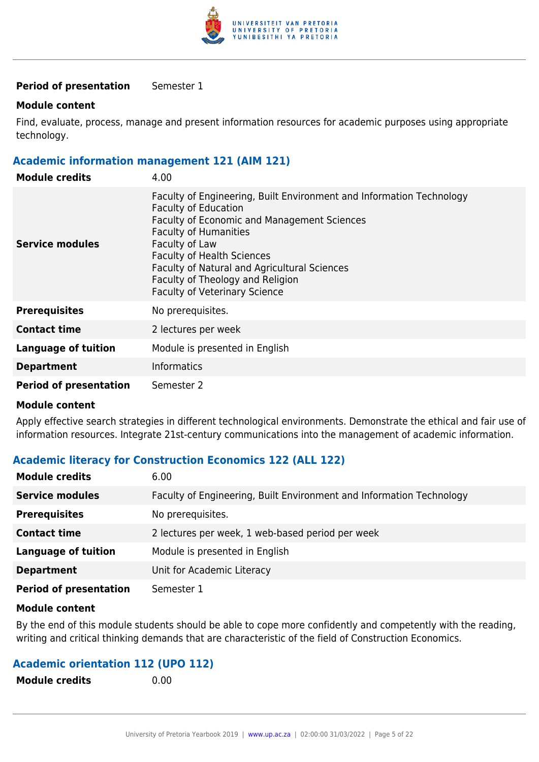

#### **Module content**

Find, evaluate, process, manage and present information resources for academic purposes using appropriate technology.

#### **Academic information management 121 (AIM 121)**

| <b>Module credits</b>         | 4.00                                                                                                                                                                                                                                                                                                                                                                                |
|-------------------------------|-------------------------------------------------------------------------------------------------------------------------------------------------------------------------------------------------------------------------------------------------------------------------------------------------------------------------------------------------------------------------------------|
| Service modules               | Faculty of Engineering, Built Environment and Information Technology<br><b>Faculty of Education</b><br><b>Faculty of Economic and Management Sciences</b><br><b>Faculty of Humanities</b><br>Faculty of Law<br><b>Faculty of Health Sciences</b><br><b>Faculty of Natural and Agricultural Sciences</b><br>Faculty of Theology and Religion<br><b>Faculty of Veterinary Science</b> |
| <b>Prerequisites</b>          | No prerequisites.                                                                                                                                                                                                                                                                                                                                                                   |
| <b>Contact time</b>           | 2 lectures per week                                                                                                                                                                                                                                                                                                                                                                 |
| <b>Language of tuition</b>    | Module is presented in English                                                                                                                                                                                                                                                                                                                                                      |
| <b>Department</b>             | <b>Informatics</b>                                                                                                                                                                                                                                                                                                                                                                  |
| <b>Period of presentation</b> | Semester 2                                                                                                                                                                                                                                                                                                                                                                          |

#### **Module content**

Apply effective search strategies in different technological environments. Demonstrate the ethical and fair use of information resources. Integrate 21st-century communications into the management of academic information.

#### **Academic literacy for Construction Economics 122 (ALL 122)**

| <b>Module credits</b>         | 6.00                                                                 |
|-------------------------------|----------------------------------------------------------------------|
| <b>Service modules</b>        | Faculty of Engineering, Built Environment and Information Technology |
| <b>Prerequisites</b>          | No prerequisites.                                                    |
| <b>Contact time</b>           | 2 lectures per week, 1 web-based period per week                     |
| <b>Language of tuition</b>    | Module is presented in English                                       |
| <b>Department</b>             | Unit for Academic Literacy                                           |
| <b>Period of presentation</b> | Semester 1                                                           |

#### **Module content**

By the end of this module students should be able to cope more confidently and competently with the reading, writing and critical thinking demands that are characteristic of the field of Construction Economics.

#### **Academic orientation 112 (UPO 112)**

| <b>Module credits</b> | 0.00 |
|-----------------------|------|
|                       |      |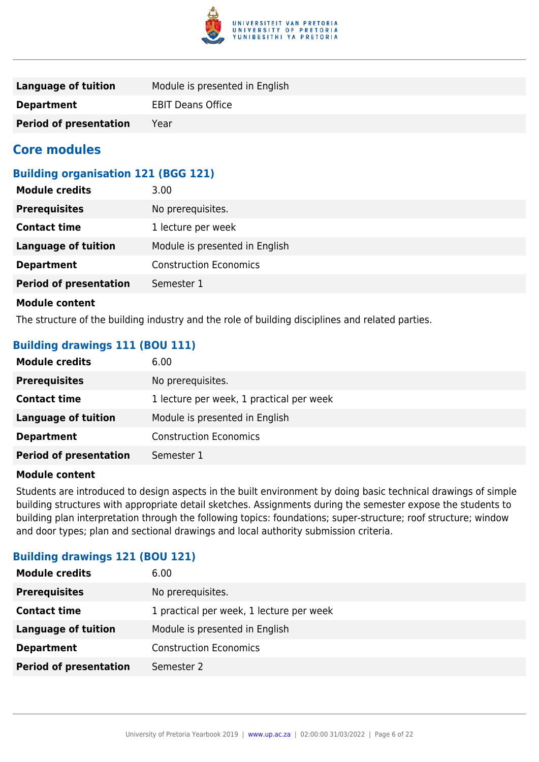

| Language of tuition           | Module is presented in English |
|-------------------------------|--------------------------------|
| <b>Department</b>             | <b>EBIT Deans Office</b>       |
| <b>Period of presentation</b> | Year                           |

### **Core modules**

### **Building organisation 121 (BGG 121)**

| <b>Module credits</b>         | 3.00                           |
|-------------------------------|--------------------------------|
| <b>Prerequisites</b>          | No prerequisites.              |
| <b>Contact time</b>           | 1 lecture per week             |
| <b>Language of tuition</b>    | Module is presented in English |
| <b>Department</b>             | <b>Construction Economics</b>  |
| <b>Period of presentation</b> | Semester 1                     |
|                               |                                |

#### **Module content**

The structure of the building industry and the role of building disciplines and related parties.

#### **Building drawings 111 (BOU 111)**

| <b>Module credits</b>         | 6.00                                     |
|-------------------------------|------------------------------------------|
| <b>Prerequisites</b>          | No prerequisites.                        |
| <b>Contact time</b>           | 1 lecture per week, 1 practical per week |
| <b>Language of tuition</b>    | Module is presented in English           |
| <b>Department</b>             | <b>Construction Economics</b>            |
| <b>Period of presentation</b> | Semester 1                               |

#### **Module content**

Students are introduced to design aspects in the built environment by doing basic technical drawings of simple building structures with appropriate detail sketches. Assignments during the semester expose the students to building plan interpretation through the following topics: foundations; super-structure; roof structure; window and door types; plan and sectional drawings and local authority submission criteria.

#### **Building drawings 121 (BOU 121)**

| No prerequisites.<br><b>Prerequisites</b>                       |
|-----------------------------------------------------------------|
|                                                                 |
| 1 practical per week, 1 lecture per week<br><b>Contact time</b> |
| Module is presented in English<br><b>Language of tuition</b>    |
| <b>Construction Economics</b><br><b>Department</b>              |
| <b>Period of presentation</b><br>Semester 2                     |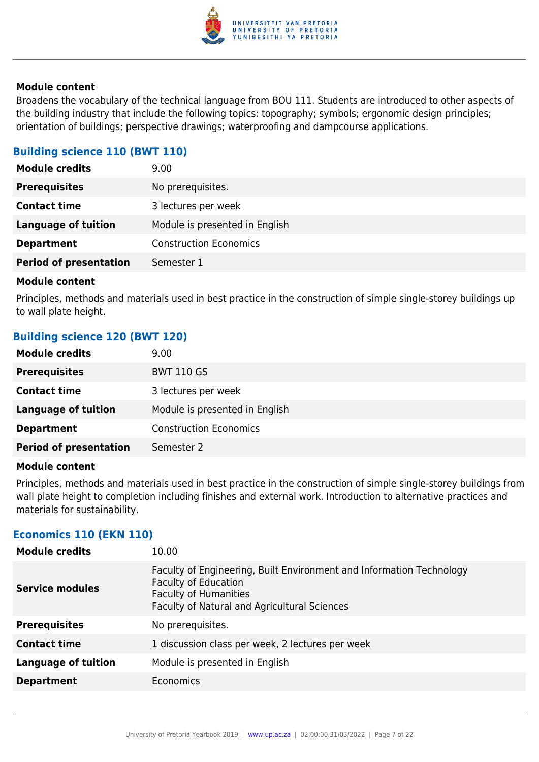

Broadens the vocabulary of the technical language from BOU 111. Students are introduced to other aspects of the building industry that include the following topics: topography; symbols; ergonomic design principles; orientation of buildings; perspective drawings; waterproofing and dampcourse applications.

### **Building science 110 (BWT 110)**

| <b>Module credits</b>         | 9.00                           |
|-------------------------------|--------------------------------|
| <b>Prerequisites</b>          | No prerequisites.              |
| <b>Contact time</b>           | 3 lectures per week            |
| <b>Language of tuition</b>    | Module is presented in English |
| <b>Department</b>             | <b>Construction Economics</b>  |
| <b>Period of presentation</b> | Semester 1                     |
|                               |                                |

#### **Module content**

Principles, methods and materials used in best practice in the construction of simple single-storey buildings up to wall plate height.

#### **Building science 120 (BWT 120)**

| <b>Module credits</b>         | 9.00                           |
|-------------------------------|--------------------------------|
| <b>Prerequisites</b>          | <b>BWT 110 GS</b>              |
| <b>Contact time</b>           | 3 lectures per week            |
| Language of tuition           | Module is presented in English |
| <b>Department</b>             | <b>Construction Economics</b>  |
| <b>Period of presentation</b> | Semester 2                     |

#### **Module content**

Principles, methods and materials used in best practice in the construction of simple single-storey buildings from wall plate height to completion including finishes and external work. Introduction to alternative practices and materials for sustainability.

#### **Economics 110 (EKN 110)**

| <b>Module credits</b>      | 10.00                                                                                                                                                                               |
|----------------------------|-------------------------------------------------------------------------------------------------------------------------------------------------------------------------------------|
| <b>Service modules</b>     | Faculty of Engineering, Built Environment and Information Technology<br><b>Faculty of Education</b><br><b>Faculty of Humanities</b><br>Faculty of Natural and Agricultural Sciences |
| <b>Prerequisites</b>       | No prerequisites.                                                                                                                                                                   |
| <b>Contact time</b>        | 1 discussion class per week, 2 lectures per week                                                                                                                                    |
| <b>Language of tuition</b> | Module is presented in English                                                                                                                                                      |
| <b>Department</b>          | Economics                                                                                                                                                                           |
|                            |                                                                                                                                                                                     |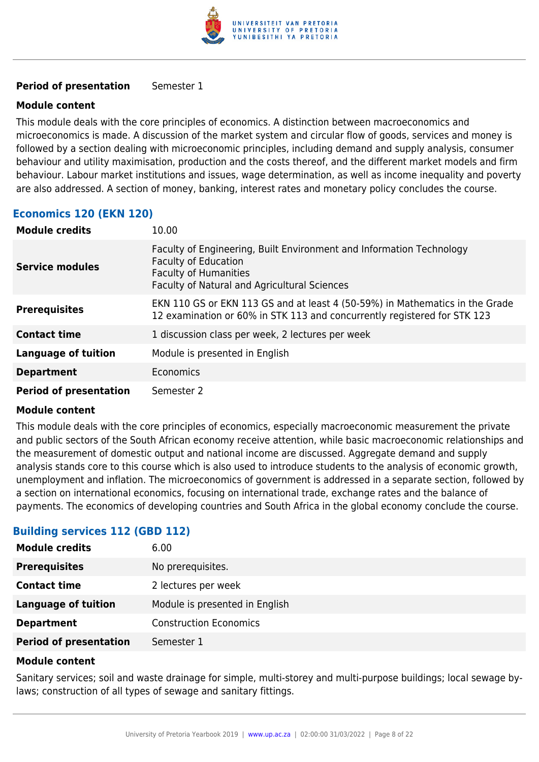

#### **Module content**

This module deals with the core principles of economics. A distinction between macroeconomics and microeconomics is made. A discussion of the market system and circular flow of goods, services and money is followed by a section dealing with microeconomic principles, including demand and supply analysis, consumer behaviour and utility maximisation, production and the costs thereof, and the different market models and firm behaviour. Labour market institutions and issues, wage determination, as well as income inequality and poverty are also addressed. A section of money, banking, interest rates and monetary policy concludes the course.

#### **Economics 120 (EKN 120)**

| <b>Module credits</b>         | 10.00                                                                                                                                                                               |
|-------------------------------|-------------------------------------------------------------------------------------------------------------------------------------------------------------------------------------|
| <b>Service modules</b>        | Faculty of Engineering, Built Environment and Information Technology<br><b>Faculty of Education</b><br><b>Faculty of Humanities</b><br>Faculty of Natural and Agricultural Sciences |
| <b>Prerequisites</b>          | EKN 110 GS or EKN 113 GS and at least 4 (50-59%) in Mathematics in the Grade<br>12 examination or 60% in STK 113 and concurrently registered for STK 123                            |
| <b>Contact time</b>           | 1 discussion class per week, 2 lectures per week                                                                                                                                    |
| <b>Language of tuition</b>    | Module is presented in English                                                                                                                                                      |
| <b>Department</b>             | Economics                                                                                                                                                                           |
| <b>Period of presentation</b> | Semester 2                                                                                                                                                                          |

#### **Module content**

This module deals with the core principles of economics, especially macroeconomic measurement the private and public sectors of the South African economy receive attention, while basic macroeconomic relationships and the measurement of domestic output and national income are discussed. Aggregate demand and supply analysis stands core to this course which is also used to introduce students to the analysis of economic growth, unemployment and inflation. The microeconomics of government is addressed in a separate section, followed by a section on international economics, focusing on international trade, exchange rates and the balance of payments. The economics of developing countries and South Africa in the global economy conclude the course.

#### **Building services 112 (GBD 112)**

| <b>Module credits</b>         | 6.00                           |
|-------------------------------|--------------------------------|
| <b>Prerequisites</b>          | No prerequisites.              |
| <b>Contact time</b>           | 2 lectures per week            |
| <b>Language of tuition</b>    | Module is presented in English |
| <b>Department</b>             | <b>Construction Economics</b>  |
| <b>Period of presentation</b> | Semester 1                     |

#### **Module content**

Sanitary services; soil and waste drainage for simple, multi-storey and multi-purpose buildings; local sewage bylaws; construction of all types of sewage and sanitary fittings.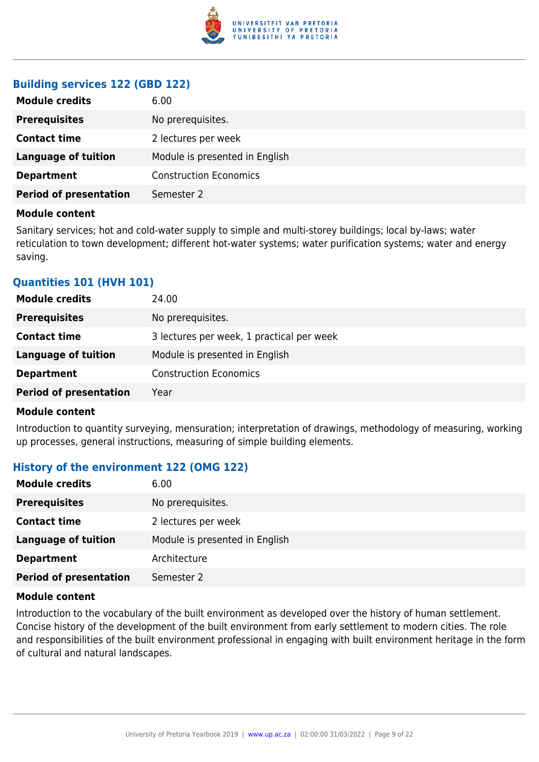

#### **Building services 122 (GBD 122)**

| 6.00                           |
|--------------------------------|
| No prerequisites.              |
| 2 lectures per week            |
| Module is presented in English |
| <b>Construction Economics</b>  |
| Semester 2                     |
|                                |

#### **Module content**

Sanitary services; hot and cold-water supply to simple and multi-storey buildings; local by-laws; water reticulation to town development; different hot-water systems; water purification systems; water and energy saving.

#### **Quantities 101 (HVH 101)**

| <b>Module credits</b>         | 24.00                                     |
|-------------------------------|-------------------------------------------|
| <b>Prerequisites</b>          | No prerequisites.                         |
| <b>Contact time</b>           | 3 lectures per week, 1 practical per week |
| <b>Language of tuition</b>    | Module is presented in English            |
| <b>Department</b>             | <b>Construction Economics</b>             |
| <b>Period of presentation</b> | Year                                      |

#### **Module content**

Introduction to quantity surveying, mensuration; interpretation of drawings, methodology of measuring, working up processes, general instructions, measuring of simple building elements.

#### **History of the environment 122 (OMG 122)**

| <b>Module credits</b>         | 6.00                           |
|-------------------------------|--------------------------------|
| <b>Prerequisites</b>          | No prerequisites.              |
| <b>Contact time</b>           | 2 lectures per week            |
| <b>Language of tuition</b>    | Module is presented in English |
| <b>Department</b>             | Architecture                   |
| <b>Period of presentation</b> | Semester 2                     |

#### **Module content**

Introduction to the vocabulary of the built environment as developed over the history of human settlement. Concise history of the development of the built environment from early settlement to modern cities. The role and responsibilities of the built environment professional in engaging with built environment heritage in the form of cultural and natural landscapes.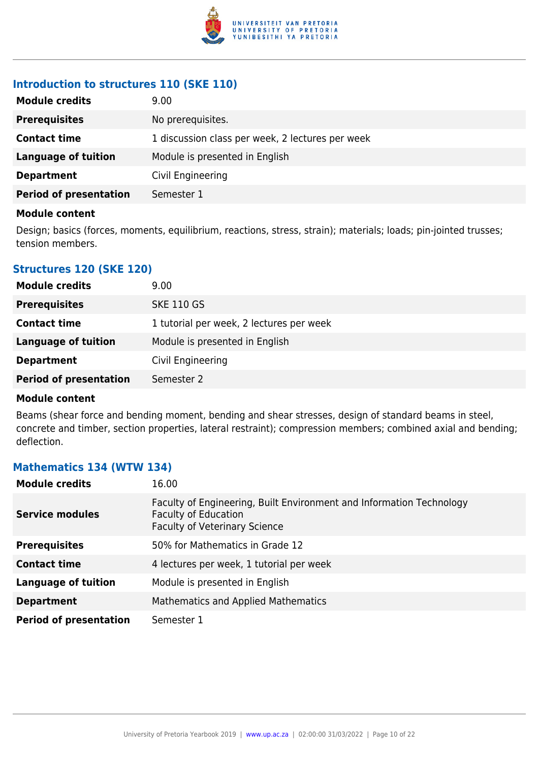

### **Introduction to structures 110 (SKE 110)**

| <b>Module credits</b>         | 9.00                                             |
|-------------------------------|--------------------------------------------------|
| <b>Prerequisites</b>          | No prerequisites.                                |
| <b>Contact time</b>           | 1 discussion class per week, 2 lectures per week |
| Language of tuition           | Module is presented in English                   |
| <b>Department</b>             | Civil Engineering                                |
| <b>Period of presentation</b> | Semester 1                                       |

#### **Module content**

Design; basics (forces, moments, equilibrium, reactions, stress, strain); materials; loads; pin-jointed trusses; tension members.

#### **Structures 120 (SKE 120)**

| <b>Module credits</b>         | 9.00                                     |
|-------------------------------|------------------------------------------|
| <b>Prerequisites</b>          | <b>SKE 110 GS</b>                        |
| <b>Contact time</b>           | 1 tutorial per week, 2 lectures per week |
| Language of tuition           | Module is presented in English           |
| <b>Department</b>             | Civil Engineering                        |
| <b>Period of presentation</b> | Semester 2                               |

#### **Module content**

Beams (shear force and bending moment, bending and shear stresses, design of standard beams in steel, concrete and timber, section properties, lateral restraint); compression members; combined axial and bending; deflection.

#### **Mathematics 134 (WTW 134)**

| <b>Module credits</b>         | 16.00                                                                                                                                       |
|-------------------------------|---------------------------------------------------------------------------------------------------------------------------------------------|
| <b>Service modules</b>        | Faculty of Engineering, Built Environment and Information Technology<br><b>Faculty of Education</b><br><b>Faculty of Veterinary Science</b> |
| <b>Prerequisites</b>          | 50% for Mathematics in Grade 12                                                                                                             |
| <b>Contact time</b>           | 4 lectures per week, 1 tutorial per week                                                                                                    |
| <b>Language of tuition</b>    | Module is presented in English                                                                                                              |
| <b>Department</b>             | <b>Mathematics and Applied Mathematics</b>                                                                                                  |
| <b>Period of presentation</b> | Semester 1                                                                                                                                  |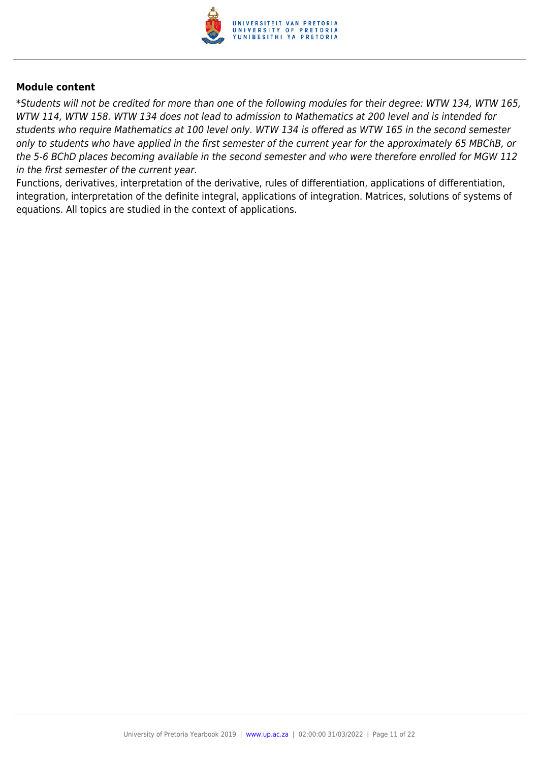

\*Students will not be credited for more than one of the following modules for their degree: WTW 134, WTW 165, WTW 114, WTW 158. WTW 134 does not lead to admission to Mathematics at 200 level and is intended for students who require Mathematics at 100 level only. WTW 134 is offered as WTW 165 in the second semester only to students who have applied in the first semester of the current year for the approximately 65 MBChB, or the 5-6 BChD places becoming available in the second semester and who were therefore enrolled for MGW 112 in the first semester of the current year.

Functions, derivatives, interpretation of the derivative, rules of differentiation, applications of differentiation, integration, interpretation of the definite integral, applications of integration. Matrices, solutions of systems of equations. All topics are studied in the context of applications.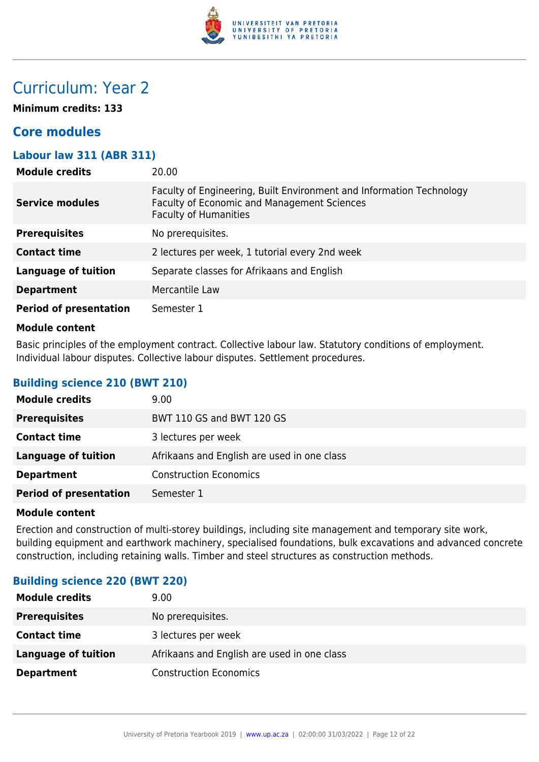

## Curriculum: Year 2

**Minimum credits: 133**

## **Core modules**

#### **Labour law 311 (ABR 311)**

| <b>Module credits</b>         | 20.00                                                                                                                                                      |
|-------------------------------|------------------------------------------------------------------------------------------------------------------------------------------------------------|
| <b>Service modules</b>        | Faculty of Engineering, Built Environment and Information Technology<br><b>Faculty of Economic and Management Sciences</b><br><b>Faculty of Humanities</b> |
| <b>Prerequisites</b>          | No prerequisites.                                                                                                                                          |
| <b>Contact time</b>           | 2 lectures per week, 1 tutorial every 2nd week                                                                                                             |
| Language of tuition           | Separate classes for Afrikaans and English                                                                                                                 |
| <b>Department</b>             | Mercantile Law                                                                                                                                             |
| <b>Period of presentation</b> | Semester 1                                                                                                                                                 |
|                               |                                                                                                                                                            |

#### **Module content**

Basic principles of the employment contract. Collective labour law. Statutory conditions of employment. Individual labour disputes. Collective labour disputes. Settlement procedures.

#### **Building science 210 (BWT 210)**

| <b>Module credits</b>         | 9.00                                        |
|-------------------------------|---------------------------------------------|
| <b>Prerequisites</b>          | BWT 110 GS and BWT 120 GS                   |
| <b>Contact time</b>           | 3 lectures per week                         |
| <b>Language of tuition</b>    | Afrikaans and English are used in one class |
| <b>Department</b>             | <b>Construction Economics</b>               |
| <b>Period of presentation</b> | Semester 1                                  |

#### **Module content**

Erection and construction of multi-storey buildings, including site management and temporary site work, building equipment and earthwork machinery, specialised foundations, bulk excavations and advanced concrete construction, including retaining walls. Timber and steel structures as construction methods.

#### **Building science 220 (BWT 220)**

| <b>Module credits</b> | 9.00                                        |
|-----------------------|---------------------------------------------|
| <b>Prerequisites</b>  | No prerequisites.                           |
| <b>Contact time</b>   | 3 lectures per week                         |
| Language of tuition   | Afrikaans and English are used in one class |
| <b>Department</b>     | <b>Construction Economics</b>               |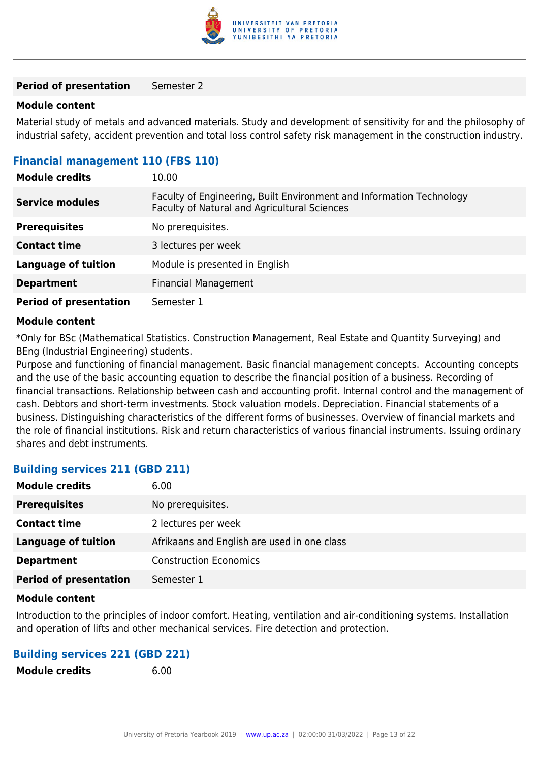

#### **Module content**

Material study of metals and advanced materials. Study and development of sensitivity for and the philosophy of industrial safety, accident prevention and total loss control safety risk management in the construction industry.

#### **Financial management 110 (FBS 110)**

| <b>Module credits</b>         | 10.00                                                                                                                |
|-------------------------------|----------------------------------------------------------------------------------------------------------------------|
| <b>Service modules</b>        | Faculty of Engineering, Built Environment and Information Technology<br>Faculty of Natural and Agricultural Sciences |
| <b>Prerequisites</b>          | No prerequisites.                                                                                                    |
| <b>Contact time</b>           | 3 lectures per week                                                                                                  |
| <b>Language of tuition</b>    | Module is presented in English                                                                                       |
| <b>Department</b>             | <b>Financial Management</b>                                                                                          |
| <b>Period of presentation</b> | Semester 1                                                                                                           |

#### **Module content**

\*Only for BSc (Mathematical Statistics. Construction Management, Real Estate and Quantity Surveying) and BEng (Industrial Engineering) students.

Purpose and functioning of financial management. Basic financial management concepts. Accounting concepts and the use of the basic accounting equation to describe the financial position of a business. Recording of financial transactions. Relationship between cash and accounting profit. Internal control and the management of cash. Debtors and short-term investments. Stock valuation models. Depreciation. Financial statements of a business. Distinguishing characteristics of the different forms of businesses. Overview of financial markets and the role of financial institutions. Risk and return characteristics of various financial instruments. Issuing ordinary shares and debt instruments.

#### **Building services 211 (GBD 211)**

| <b>Module credits</b>         | 6.00                                        |
|-------------------------------|---------------------------------------------|
| <b>Prerequisites</b>          | No prerequisites.                           |
| <b>Contact time</b>           | 2 lectures per week                         |
| <b>Language of tuition</b>    | Afrikaans and English are used in one class |
| <b>Department</b>             | <b>Construction Economics</b>               |
| <b>Period of presentation</b> | Semester 1                                  |

#### **Module content**

Introduction to the principles of indoor comfort. Heating, ventilation and air-conditioning systems. Installation and operation of lifts and other mechanical services. Fire detection and protection.

#### **Building services 221 (GBD 221)**

**Module credits** 6.00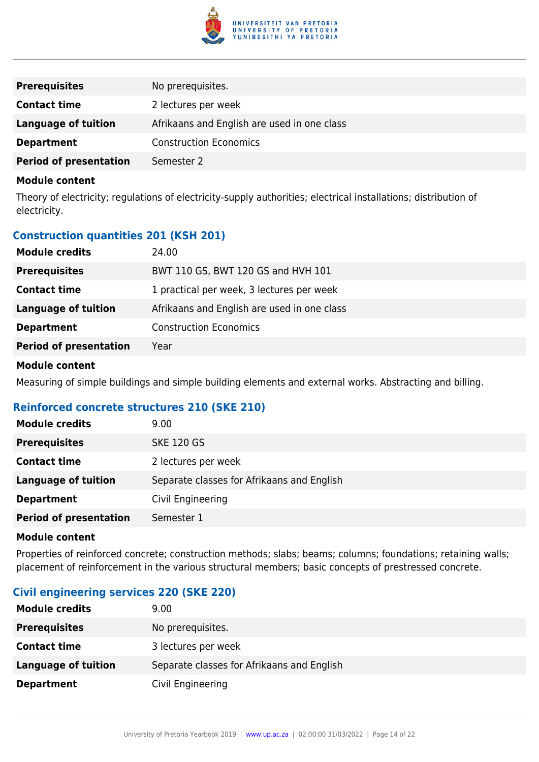

| <b>Prerequisites</b>          | No prerequisites.                           |
|-------------------------------|---------------------------------------------|
| <b>Contact time</b>           | 2 lectures per week                         |
| <b>Language of tuition</b>    | Afrikaans and English are used in one class |
| <b>Department</b>             | <b>Construction Economics</b>               |
| <b>Period of presentation</b> | Semester 2                                  |

Theory of electricity; regulations of electricity-supply authorities; electrical installations; distribution of electricity.

#### **Construction quantities 201 (KSH 201)**

| <b>Module credits</b>         | 24.00                                       |
|-------------------------------|---------------------------------------------|
| <b>Prerequisites</b>          | BWT 110 GS, BWT 120 GS and HVH 101          |
| <b>Contact time</b>           | 1 practical per week, 3 lectures per week   |
| <b>Language of tuition</b>    | Afrikaans and English are used in one class |
| <b>Department</b>             | <b>Construction Economics</b>               |
| <b>Period of presentation</b> | Year                                        |
|                               |                                             |

#### **Module content**

Measuring of simple buildings and simple building elements and external works. Abstracting and billing.

#### **Reinforced concrete structures 210 (SKE 210)**

| <b>Module credits</b>         | 9.00                                       |
|-------------------------------|--------------------------------------------|
| <b>Prerequisites</b>          | <b>SKE 120 GS</b>                          |
| <b>Contact time</b>           | 2 lectures per week                        |
| <b>Language of tuition</b>    | Separate classes for Afrikaans and English |
| <b>Department</b>             | Civil Engineering                          |
| <b>Period of presentation</b> | Semester 1                                 |

#### **Module content**

Properties of reinforced concrete; construction methods; slabs; beams; columns; foundations; retaining walls; placement of reinforcement in the various structural members; basic concepts of prestressed concrete.

#### **Civil engineering services 220 (SKE 220)**

| <b>Module credits</b> | 9.00                                       |
|-----------------------|--------------------------------------------|
| <b>Prerequisites</b>  | No prerequisites.                          |
| <b>Contact time</b>   | 3 lectures per week                        |
| Language of tuition   | Separate classes for Afrikaans and English |
| <b>Department</b>     | Civil Engineering                          |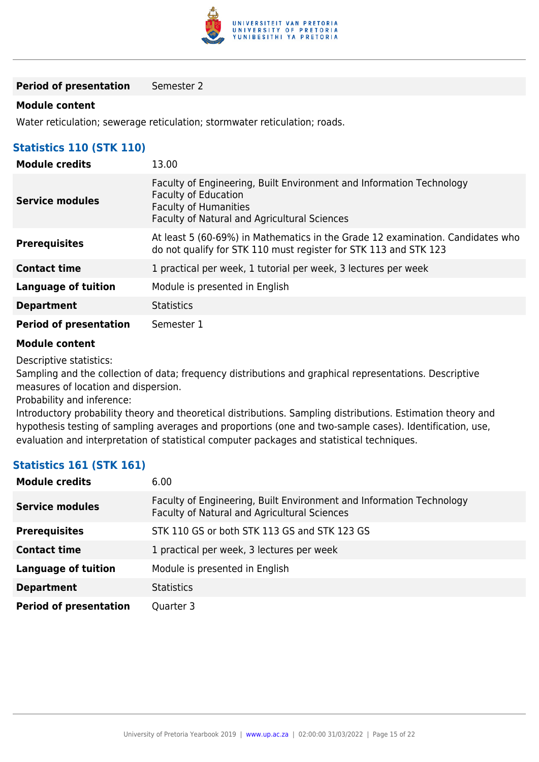

#### **Module content**

Water reticulation; sewerage reticulation; stormwater reticulation; roads.

#### **Statistics 110 (STK 110)**

| <b>Module credits</b>         | 13.00                                                                                                                                                                               |
|-------------------------------|-------------------------------------------------------------------------------------------------------------------------------------------------------------------------------------|
| <b>Service modules</b>        | Faculty of Engineering, Built Environment and Information Technology<br><b>Faculty of Education</b><br><b>Faculty of Humanities</b><br>Faculty of Natural and Agricultural Sciences |
| <b>Prerequisites</b>          | At least 5 (60-69%) in Mathematics in the Grade 12 examination. Candidates who<br>do not qualify for STK 110 must register for STK 113 and STK 123                                  |
| <b>Contact time</b>           | 1 practical per week, 1 tutorial per week, 3 lectures per week                                                                                                                      |
| <b>Language of tuition</b>    | Module is presented in English                                                                                                                                                      |
| <b>Department</b>             | <b>Statistics</b>                                                                                                                                                                   |
| <b>Period of presentation</b> | Semester 1                                                                                                                                                                          |

#### **Module content**

Descriptive statistics:

Sampling and the collection of data; frequency distributions and graphical representations. Descriptive measures of location and dispersion.

Probability and inference:

Introductory probability theory and theoretical distributions. Sampling distributions. Estimation theory and hypothesis testing of sampling averages and proportions (one and two-sample cases). Identification, use, evaluation and interpretation of statistical computer packages and statistical techniques.

#### **Statistics 161 (STK 161)**

| <b>Module credits</b>         | 6.00                                                                                                                 |
|-------------------------------|----------------------------------------------------------------------------------------------------------------------|
| <b>Service modules</b>        | Faculty of Engineering, Built Environment and Information Technology<br>Faculty of Natural and Agricultural Sciences |
| <b>Prerequisites</b>          | STK 110 GS or both STK 113 GS and STK 123 GS                                                                         |
| <b>Contact time</b>           | 1 practical per week, 3 lectures per week                                                                            |
| <b>Language of tuition</b>    | Module is presented in English                                                                                       |
| <b>Department</b>             | <b>Statistics</b>                                                                                                    |
| <b>Period of presentation</b> | Quarter 3                                                                                                            |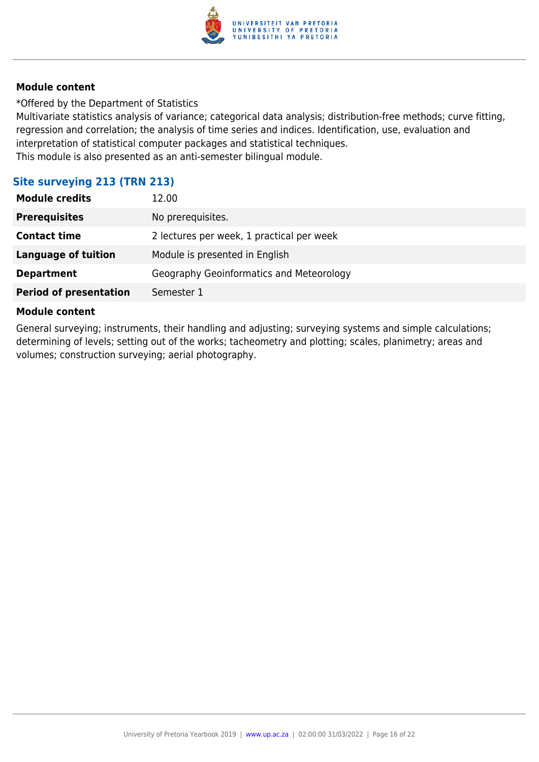

\*Offered by the Department of Statistics

Multivariate statistics analysis of variance; categorical data analysis; distribution-free methods; curve fitting, regression and correlation; the analysis of time series and indices. Identification, use, evaluation and interpretation of statistical computer packages and statistical techniques. This module is also presented as an anti-semester bilingual module.

#### **Site surveying 213 (TRN 213)**

| <b>Module credits</b>         | 12.00                                     |
|-------------------------------|-------------------------------------------|
| <b>Prerequisites</b>          | No prerequisites.                         |
| <b>Contact time</b>           | 2 lectures per week, 1 practical per week |
| <b>Language of tuition</b>    | Module is presented in English            |
| <b>Department</b>             | Geography Geoinformatics and Meteorology  |
| <b>Period of presentation</b> | Semester 1                                |

#### **Module content**

General surveying; instruments, their handling and adjusting; surveying systems and simple calculations; determining of levels; setting out of the works; tacheometry and plotting; scales, planimetry; areas and volumes; construction surveying; aerial photography.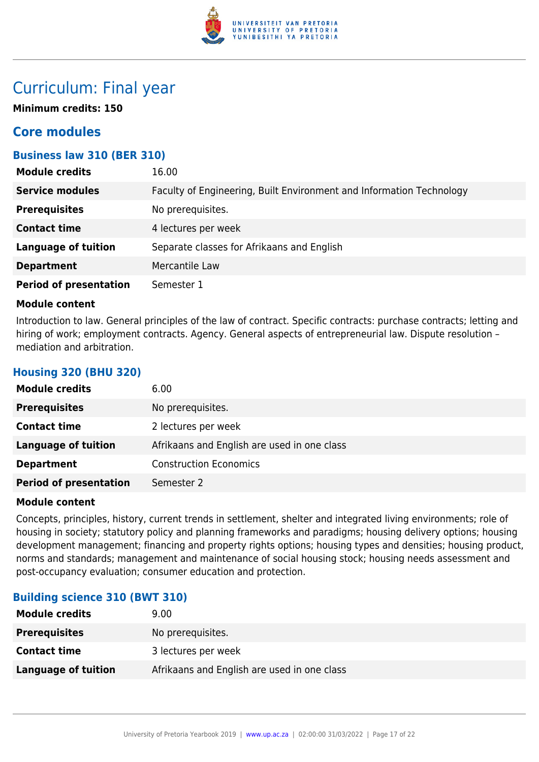

## Curriculum: Final year

**Minimum credits: 150**

## **Core modules**

#### **Business law 310 (BER 310)**

| <b>Module credits</b>         | 16.00                                                                |
|-------------------------------|----------------------------------------------------------------------|
| <b>Service modules</b>        | Faculty of Engineering, Built Environment and Information Technology |
| <b>Prerequisites</b>          | No prerequisites.                                                    |
| <b>Contact time</b>           | 4 lectures per week                                                  |
| <b>Language of tuition</b>    | Separate classes for Afrikaans and English                           |
| <b>Department</b>             | Mercantile Law                                                       |
| <b>Period of presentation</b> | Semester 1                                                           |

#### **Module content**

**Housing 320 (BHU 320)**

Introduction to law. General principles of the law of contract. Specific contracts: purchase contracts; letting and hiring of work; employment contracts. Agency. General aspects of entrepreneurial law. Dispute resolution mediation and arbitration.

| <b>Module credits</b>         | 6.00                                        |
|-------------------------------|---------------------------------------------|
| <b>Prerequisites</b>          | No prerequisites.                           |
| <b>Contact time</b>           | 2 lectures per week                         |
| <b>Language of tuition</b>    | Afrikaans and English are used in one class |
| <b>Department</b>             | <b>Construction Economics</b>               |
| <b>Period of presentation</b> | Semester 2                                  |

#### **Module content**

Concepts, principles, history, current trends in settlement, shelter and integrated living environments; role of housing in society; statutory policy and planning frameworks and paradigms; housing delivery options; housing development management; financing and property rights options; housing types and densities; housing product, norms and standards; management and maintenance of social housing stock; housing needs assessment and post-occupancy evaluation; consumer education and protection.

#### **Building science 310 (BWT 310)**

| <b>Module credits</b>      | 9.00                                        |
|----------------------------|---------------------------------------------|
| <b>Prerequisites</b>       | No prerequisites.                           |
| <b>Contact time</b>        | 3 lectures per week                         |
| <b>Language of tuition</b> | Afrikaans and English are used in one class |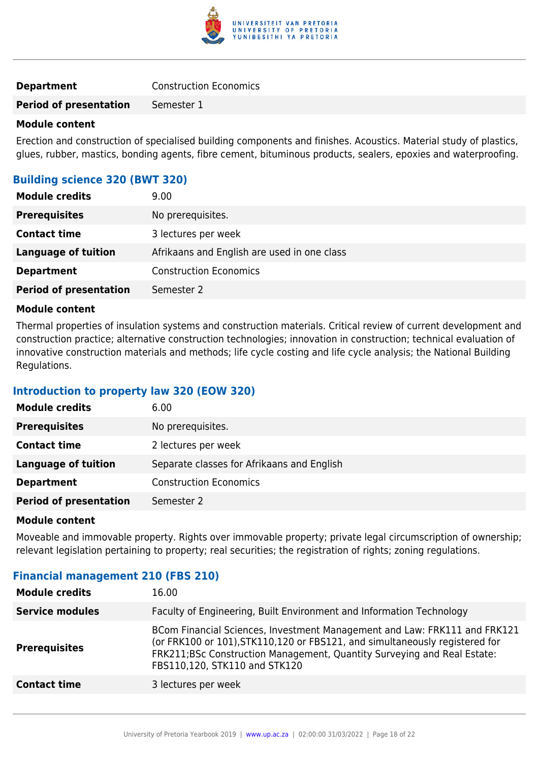

| <b>Construction Economics</b><br><b>Department</b> |
|----------------------------------------------------|
|----------------------------------------------------|

#### **Module content**

Erection and construction of specialised building components and finishes. Acoustics. Material study of plastics, glues, rubber, mastics, bonding agents, fibre cement, bituminous products, sealers, epoxies and waterproofing.

#### **Building science 320 (BWT 320)**

| <b>Module credits</b>         | 9.00                                        |
|-------------------------------|---------------------------------------------|
| <b>Prerequisites</b>          | No prerequisites.                           |
| <b>Contact time</b>           | 3 lectures per week                         |
| <b>Language of tuition</b>    | Afrikaans and English are used in one class |
| <b>Department</b>             | <b>Construction Economics</b>               |
| <b>Period of presentation</b> | Semester 2                                  |

#### **Module content**

Thermal properties of insulation systems and construction materials. Critical review of current development and construction practice; alternative construction technologies; innovation in construction; technical evaluation of innovative construction materials and methods; life cycle costing and life cycle analysis; the National Building Regulations.

#### **Introduction to property law 320 (EOW 320)**

| <b>Module credits</b>         | 6.00                                       |
|-------------------------------|--------------------------------------------|
| <b>Prerequisites</b>          | No prerequisites.                          |
| <b>Contact time</b>           | 2 lectures per week                        |
| <b>Language of tuition</b>    | Separate classes for Afrikaans and English |
| <b>Department</b>             | <b>Construction Economics</b>              |
| <b>Period of presentation</b> | Semester 2                                 |

#### **Module content**

Moveable and immovable property. Rights over immovable property; private legal circumscription of ownership; relevant legislation pertaining to property; real securities; the registration of rights; zoning regulations.

#### **Financial management 210 (FBS 210)**

| <b>Module credits</b>  | 16.00                                                                                                                                                                                                                                                                 |
|------------------------|-----------------------------------------------------------------------------------------------------------------------------------------------------------------------------------------------------------------------------------------------------------------------|
| <b>Service modules</b> | Faculty of Engineering, Built Environment and Information Technology                                                                                                                                                                                                  |
| <b>Prerequisites</b>   | BCom Financial Sciences, Investment Management and Law: FRK111 and FRK121<br>(or FRK100 or 101), STK110, 120 or FBS121, and simultaneously registered for<br>FRK211;BSc Construction Management, Quantity Surveying and Real Estate:<br>FBS110,120, STK110 and STK120 |
| <b>Contact time</b>    | 3 lectures per week                                                                                                                                                                                                                                                   |
|                        |                                                                                                                                                                                                                                                                       |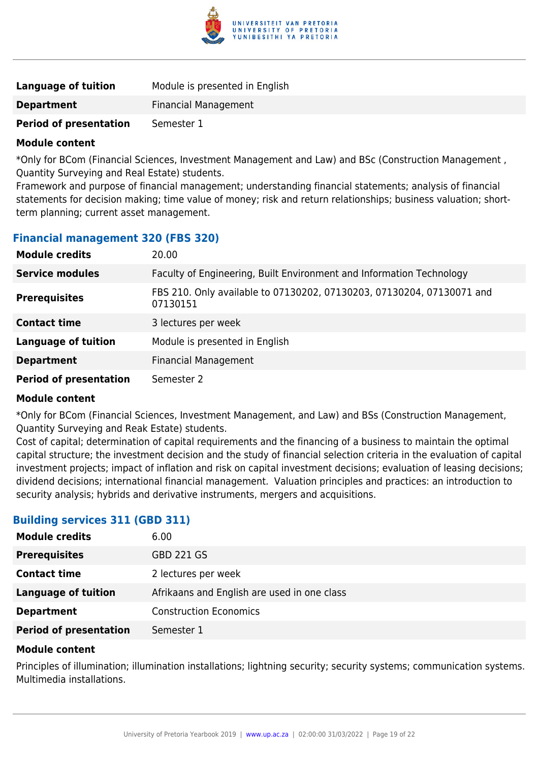

| Language of tuition           | Module is presented in English |
|-------------------------------|--------------------------------|
| <b>Department</b>             | <b>Financial Management</b>    |
| <b>Period of presentation</b> | Semester 1                     |

\*Only for BCom (Financial Sciences, Investment Management and Law) and BSc (Construction Management , Quantity Surveying and Real Estate) students.

Framework and purpose of financial management; understanding financial statements; analysis of financial statements for decision making; time value of money; risk and return relationships; business valuation; shortterm planning; current asset management.

#### **Financial management 320 (FBS 320)**

| <b>Module credits</b>         | 20.00                                                                             |
|-------------------------------|-----------------------------------------------------------------------------------|
| <b>Service modules</b>        | Faculty of Engineering, Built Environment and Information Technology              |
| <b>Prerequisites</b>          | FBS 210. Only available to 07130202, 07130203, 07130204, 07130071 and<br>07130151 |
| <b>Contact time</b>           | 3 lectures per week                                                               |
| <b>Language of tuition</b>    | Module is presented in English                                                    |
| <b>Department</b>             | <b>Financial Management</b>                                                       |
| <b>Period of presentation</b> | Semester 2                                                                        |

#### **Module content**

\*Only for BCom (Financial Sciences, Investment Management, and Law) and BSs (Construction Management, Quantity Surveying and Reak Estate) students.

Cost of capital; determination of capital requirements and the financing of a business to maintain the optimal capital structure; the investment decision and the study of financial selection criteria in the evaluation of capital investment projects; impact of inflation and risk on capital investment decisions; evaluation of leasing decisions; dividend decisions; international financial management. Valuation principles and practices: an introduction to security analysis; hybrids and derivative instruments, mergers and acquisitions.

#### **Building services 311 (GBD 311)**

| <b>Module credits</b>         | 6.00                                        |
|-------------------------------|---------------------------------------------|
| <b>Prerequisites</b>          | <b>GBD 221 GS</b>                           |
| <b>Contact time</b>           | 2 lectures per week                         |
| <b>Language of tuition</b>    | Afrikaans and English are used in one class |
| <b>Department</b>             | <b>Construction Economics</b>               |
| <b>Period of presentation</b> | Semester 1                                  |

#### **Module content**

Principles of illumination; illumination installations; lightning security; security systems; communication systems. Multimedia installations.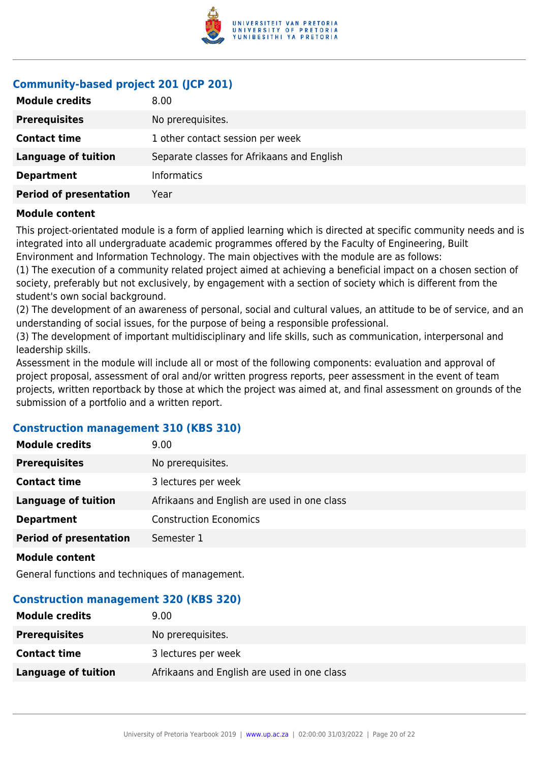

## **Community-based project 201 (JCP 201)**

| <b>Module credits</b>         | 8.00                                       |
|-------------------------------|--------------------------------------------|
| <b>Prerequisites</b>          | No prerequisites.                          |
| <b>Contact time</b>           | 1 other contact session per week           |
| <b>Language of tuition</b>    | Separate classes for Afrikaans and English |
| <b>Department</b>             | <b>Informatics</b>                         |
| <b>Period of presentation</b> | Year                                       |

#### **Module content**

This project-orientated module is a form of applied learning which is directed at specific community needs and is integrated into all undergraduate academic programmes offered by the Faculty of Engineering, Built Environment and Information Technology. The main objectives with the module are as follows:

(1) The execution of a community related project aimed at achieving a beneficial impact on a chosen section of society, preferably but not exclusively, by engagement with a section of society which is different from the student's own social background.

(2) The development of an awareness of personal, social and cultural values, an attitude to be of service, and an understanding of social issues, for the purpose of being a responsible professional.

(3) The development of important multidisciplinary and life skills, such as communication, interpersonal and leadership skills.

Assessment in the module will include all or most of the following components: evaluation and approval of project proposal, assessment of oral and/or written progress reports, peer assessment in the event of team projects, written reportback by those at which the project was aimed at, and final assessment on grounds of the submission of a portfolio and a written report.

#### **Construction management 310 (KBS 310)**

| <b>Module credits</b>         | 9.00                                        |
|-------------------------------|---------------------------------------------|
| <b>Prerequisites</b>          | No prerequisites.                           |
| <b>Contact time</b>           | 3 lectures per week                         |
| <b>Language of tuition</b>    | Afrikaans and English are used in one class |
| <b>Department</b>             | <b>Construction Economics</b>               |
| <b>Period of presentation</b> | Semester 1                                  |
|                               |                                             |

**Module content**

General functions and techniques of management.

#### **Construction management 320 (KBS 320)**

| <b>Module credits</b>      | 9.00                                        |
|----------------------------|---------------------------------------------|
| <b>Prerequisites</b>       | No prerequisites.                           |
| <b>Contact time</b>        | 3 lectures per week                         |
| <b>Language of tuition</b> | Afrikaans and English are used in one class |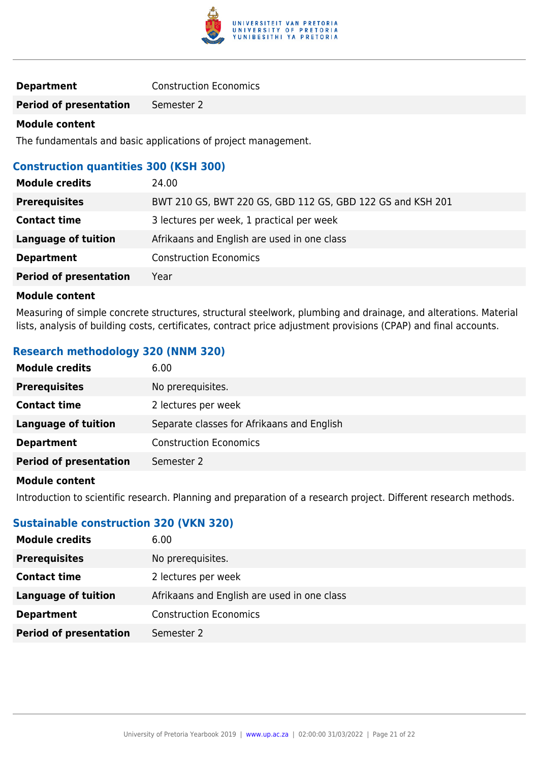

| <b>Construction Economics</b> |
|-------------------------------|
|                               |

### **Module content**

The fundamentals and basic applications of project management.

## **Construction quantities 300 (KSH 300)**

| <b>Module credits</b>         | 24.00                                                      |
|-------------------------------|------------------------------------------------------------|
| <b>Prerequisites</b>          | BWT 210 GS, BWT 220 GS, GBD 112 GS, GBD 122 GS and KSH 201 |
| <b>Contact time</b>           | 3 lectures per week, 1 practical per week                  |
| <b>Language of tuition</b>    | Afrikaans and English are used in one class                |
| <b>Department</b>             | <b>Construction Economics</b>                              |
| <b>Period of presentation</b> | Year                                                       |

#### **Module content**

Measuring of simple concrete structures, structural steelwork, plumbing and drainage, and alterations. Material lists, analysis of building costs, certificates, contract price adjustment provisions (CPAP) and final accounts.

### **Research methodology 320 (NNM 320)**

| <b>Module credits</b>         | 6.00                                       |
|-------------------------------|--------------------------------------------|
| <b>Prerequisites</b>          | No prerequisites.                          |
| <b>Contact time</b>           | 2 lectures per week                        |
| Language of tuition           | Separate classes for Afrikaans and English |
| <b>Department</b>             | <b>Construction Economics</b>              |
| <b>Period of presentation</b> | Semester 2                                 |
|                               |                                            |

#### **Module content**

Introduction to scientific research. Planning and preparation of a research project. Different research methods.

### **Sustainable construction 320 (VKN 320)**

| <b>Module credits</b>         | 6.00                                        |
|-------------------------------|---------------------------------------------|
| <b>Prerequisites</b>          | No prerequisites.                           |
| <b>Contact time</b>           | 2 lectures per week                         |
| Language of tuition           | Afrikaans and English are used in one class |
| <b>Department</b>             | <b>Construction Economics</b>               |
| <b>Period of presentation</b> | Semester 2                                  |